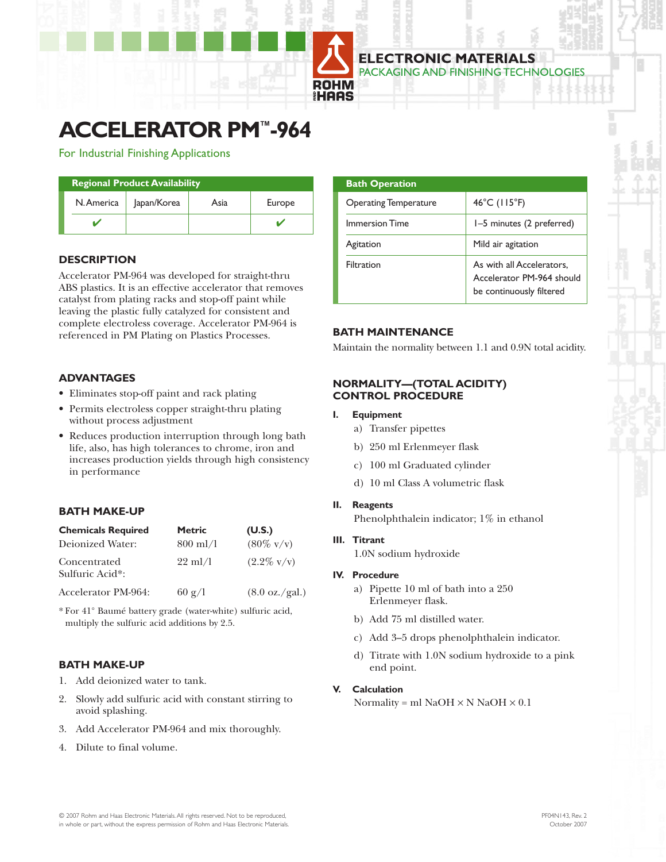

# **ACCELERATOR PM™-964**

For Industrial Finishing Applications

| <b>Regional Product Availability</b> |             |      |        |
|--------------------------------------|-------------|------|--------|
| N. America                           | Japan/Korea | Asia | Europe |
|                                      |             |      |        |

# **DESCRIPTION**

Accelerator PM-964 was developed for straight-thru ABS plastics. It is an effective accelerator that removes catalyst from plating racks and stop-off paint while leaving the plastic fully catalyzed for consistent and complete electroless coverage. Accelerator PM-964 is referenced in PM Plating on Plastics Processes.

# **ADVANTAGES**

- Eliminates stop-off paint and rack plating
- Permits electroless copper straight-thru plating without process adjustment
- Reduces production interruption through long bath life, also, has high tolerances to chrome, iron and increases production yields through high consistency in performance

# **BATH MAKE-UP**

| <b>Chemicals Required</b>       | <b>Metric</b>     | (U.S.)                          |
|---------------------------------|-------------------|---------------------------------|
| Deionized Water:                | $800$ ml/l        | $(80\% \text{ v/v})$            |
| Concentrated<br>Sulfuric Acid*: | $22 \text{ ml}/1$ | $(2.2\% \text{ v/v})$           |
| Accelerator PM-964:             | $60 \text{ g}/1$  | $(8.0 \text{ oz.}/\text{gal.})$ |

\* For 41° Baumé battery grade (water-white) sulfuric acid, multiply the sulfuric acid additions by 2.5.

# **BATH MAKE-UP**

- 1. Add deionized water to tank.
- 2. Slowly add sulfuric acid with constant stirring to avoid splashing.
- 3. Add Accelerator PM-964 and mix thoroughly.
- 4. Dilute to final volume.

| <b>Bath Operation</b>        |                                                                                    |
|------------------------------|------------------------------------------------------------------------------------|
| <b>Operating Temperature</b> | $46^{\circ}$ C (115 $^{\circ}$ F)                                                  |
| <b>Immersion Time</b>        | 1-5 minutes (2 preferred)                                                          |
| Agitation                    | Mild air agitation                                                                 |
| Filtration                   | As with all Accelerators,<br>Accelerator PM-964 should<br>be continuously filtered |

TERIAI S

# **BATH MAINTENANCE**

Maintain the normality between 1.1 and 0.9N total acidity.

### **NORMALITY—(TOTAL ACIDITY) CONTROL PROCEDURE**

#### **I. Equipment**

- a) Transfer pipettes
- b) 250 ml Erlenmeyer flask
- c) 100 ml Graduated cylinder
- d) 10 ml Class A volumetric flask
- **II. Reagents**

Phenolphthalein indicator; 1% in ethanol

**III. Titrant**

1.0N sodium hydroxide

#### **IV. Procedure**

- a) Pipette 10 ml of bath into a 250 Erlenmeyer flask.
- b) Add 75 ml distilled water.
- c) Add 3–5 drops phenolphthalein indicator.
- d) Titrate with 1.0N sodium hydroxide to a pink end point.

## **V. Calculation**

Normality = ml NaOH  $\times$  N NaOH  $\times$  0.1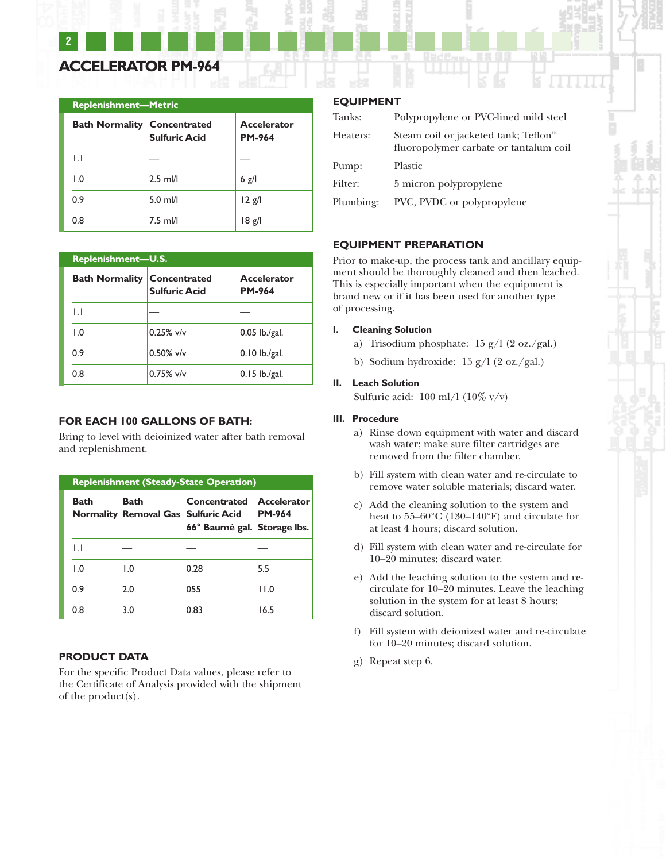# **ACCELERATOR PM-964**

**2**

| <b>Replenishment—Metric</b>        |                      |                                     |  |
|------------------------------------|----------------------|-------------------------------------|--|
| <b>Bath Normality Concentrated</b> | <b>Sulfuric Acid</b> | <b>Accelerator</b><br><b>PM-964</b> |  |
| $\mathsf{L}$                       |                      |                                     |  |
| 1.0                                | $2.5$ ml/l           | $6$ g/l                             |  |
| 0.9                                | $5.0$ ml/l           | $12$ g/l                            |  |
| 0.8                                | $7.5$ ml/l           | 8g                                  |  |

| <b>Replenishment-U.S.</b> |                                      |                                     |  |
|---------------------------|--------------------------------------|-------------------------------------|--|
| <b>Bath Normality</b>     | Concentrated<br><b>Sulfuric Acid</b> | <b>Accelerator</b><br><b>PM-964</b> |  |
| $\mathsf{L}$              |                                      |                                     |  |
| $\overline{1.0}$          | $0.25\%$ v/v                         | $0.05$ lb./gal.                     |  |
| 0.9                       | $0.50\%$ v/v                         | $0.10$ lb./gal.                     |  |
| 0.8                       | $0.75\%$ v/v                         | $0.15$ lb./gal.                     |  |

## **FOR EACH 100 GALLONS OF BATH:**

Bring to level with deioinized water after bath removal and replenishment.

| <b>Replenishment (Steady-State Operation)</b> |                                                    |                                             |                                     |
|-----------------------------------------------|----------------------------------------------------|---------------------------------------------|-------------------------------------|
| <b>Bath</b>                                   | Bath<br><b>Normality Removal Gas Sulfuric Acid</b> | Concentrated<br>66° Baumé gal. Storage Ibs. | <b>Accelerator</b><br><b>PM-964</b> |
| IJ                                            |                                                    |                                             |                                     |
| $\overline{1.0}$                              | 1.0                                                | 0.28                                        | 5.5                                 |
| 0.9                                           | 2.0                                                | 055                                         | 11.0                                |
| 0.8                                           | 3.0                                                | 0.83                                        | 16.5                                |

#### **PRODUCT DATA**

For the specific Product Data values, please refer to the Certificate of Analysis provided with the shipment of the product(s).

# **EQUIPMENT**

| Tanks:    | Polypropylene or PVC-lined mild steel                                                      |
|-----------|--------------------------------------------------------------------------------------------|
| Heaters:  | Steam coil or jacketed tank; Teflon <sup>™</sup><br>fluoropolymer carbate or tantalum coil |
| Pump:     | Plastic                                                                                    |
| Filter:   | 5 micron polypropylene                                                                     |
| Plumbing: | PVC, PVDC or polypropylene                                                                 |

#### **EQUIPMENT PREPARATION**

Prior to make-up, the process tank and ancillary equipment should be thoroughly cleaned and then leached. This is especially important when the equipment is brand new or if it has been used for another type of processing.

#### **I. Cleaning Solution**

- a) Trisodium phosphate: 15 g/l (2 oz./gal.)
- b) Sodium hydroxide: 15 g/l (2 oz./gal.)

#### **II. Leach Solution**

Sulfuric acid:  $100 \text{ ml} / 1 \cdot (10\% \text{ v/v})$ 

#### **III. Procedure**

- a) Rinse down equipment with water and discard wash water; make sure filter cartridges are removed from the filter chamber.
- b) Fill system with clean water and re-circulate to remove water soluble materials; discard water.
- c) Add the cleaning solution to the system and heat to 55–60°C (130–140°F) and circulate for at least 4 hours; discard solution.
- d) Fill system with clean water and re-circulate for 10–20 minutes; discard water.
- e) Add the leaching solution to the system and recirculate for 10–20 minutes. Leave the leaching solution in the system for at least 8 hours; discard solution.
- f) Fill system with deionized water and re-circulate for 10–20 minutes; discard solution.
- g) Repeat step 6.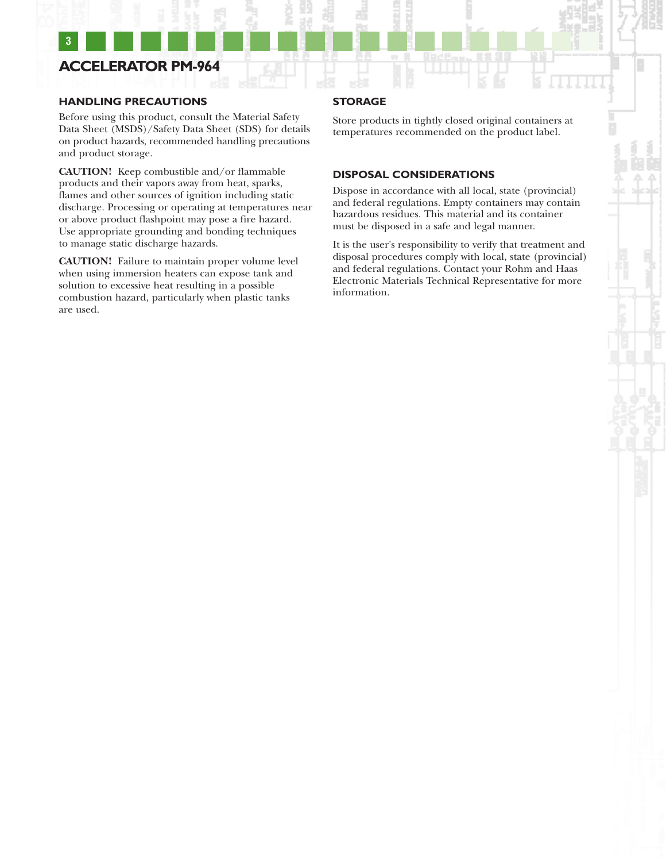# **ACCELERATOR PM-964**

**3**

#### **HANDLING PRECAUTIONS**

Before using this product, consult the Material Safety Data Sheet (MSDS)/Safety Data Sheet (SDS) for details on product hazards, recommended handling precautions and product storage.

**CAUTION!** Keep combustible and/or flammable products and their vapors away from heat, sparks, flames and other sources of ignition including static discharge. Processing or operating at temperatures near or above product flashpoint may pose a fire hazard. Use appropriate grounding and bonding techniques to manage static discharge hazards.

**CAUTION!** Failure to maintain proper volume level when using immersion heaters can expose tank and solution to excessive heat resulting in a possible combustion hazard, particularly when plastic tanks are used.

# **STORAGE**

Store products in tightly closed original containers at temperatures recommended on the product label.

#### **DISPOSAL CONSIDERATIONS**

Dispose in accordance with all local, state (provincial) and federal regulations. Empty containers may contain hazardous residues. This material and its container must be disposed in a safe and legal manner.

It is the user's responsibility to verify that treatment and disposal procedures comply with local, state (provincial) and federal regulations. Contact your Rohm and Haas Electronic Materials Technical Representative for more information.